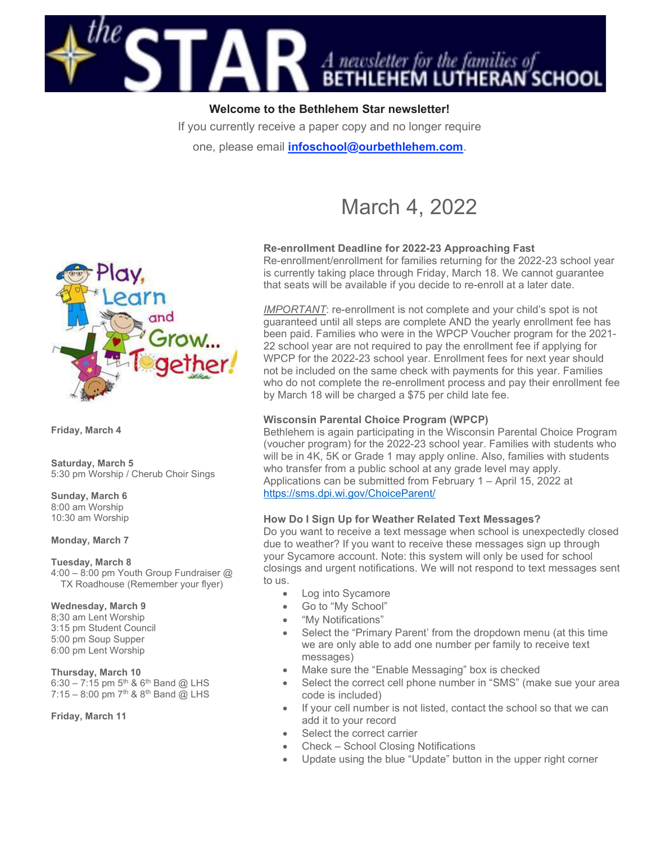

Welcome to the Bethlehem Star newsletter!

If you currently receive a paper copy and no longer require

one, please email *infoschool@ourbethlehem.com*.

# March 4, 2022



Friday, March 4

Saturday, March 5 5:30 pm Worship / Cherub Choir Sings

Sunday, March 6 8:00 am Worship 10:30 am Worship

Monday, March 7

#### Tuesday, March 8

4:00 – 8:00 pm Youth Group Fundraiser @ TX Roadhouse (Remember your flyer)

#### Wednesday, March 9

8;30 am Lent Worship 3:15 pm Student Council 5:00 pm Soup Supper 6:00 pm Lent Worship

Thursday, March 10

6:30 – 7:15 pm  $5^{th}$  &  $6^{th}$  Band @ LHS 7:15 – 8:00 pm  $7^{th}$  &  $8^{th}$  Band @ LHS

Friday, March 11

# Re-enrollment Deadline for 2022-23 Approaching Fast

Re-enrollment/enrollment for families returning for the 2022-23 school year is currently taking place through Friday, March 18. We cannot guarantee that seats will be available if you decide to re-enroll at a later date.

IMPORTANT: re-enrollment is not complete and your child's spot is not guaranteed until all steps are complete AND the yearly enrollment fee has been paid. Families who were in the WPCP Voucher program for the 2021- 22 school year are not required to pay the enrollment fee if applying for WPCP for the 2022-23 school year. Enrollment fees for next year should not be included on the same check with payments for this year. Families who do not complete the re-enrollment process and pay their enrollment fee by March 18 will be charged a \$75 per child late fee.

# Wisconsin Parental Choice Program (WPCP)

Bethlehem is again participating in the Wisconsin Parental Choice Program (voucher program) for the 2022-23 school year. Families with students who will be in 4K, 5K or Grade 1 may apply online. Also, families with students who transfer from a public school at any grade level may apply. Applications can be submitted from February 1 – April 15, 2022 at https://sms.dpi.wi.gov/ChoiceParent/

# How Do I Sign Up for Weather Related Text Messages?

Do you want to receive a text message when school is unexpectedly closed due to weather? If you want to receive these messages sign up through your Sycamore account. Note: this system will only be used for school closings and urgent notifications. We will not respond to text messages sent to us.

- Log into Sycamore
- Go to "My School"
- "My Notifications"
- Select the "Primary Parent' from the dropdown menu (at this time we are only able to add one number per family to receive text messages)
- Make sure the "Enable Messaging" box is checked
- Select the correct cell phone number in "SMS" (make sue your area code is included)
- If your cell number is not listed, contact the school so that we can add it to your record
- Select the correct carrier
- Check School Closing Notifications
- Update using the blue "Update" button in the upper right corner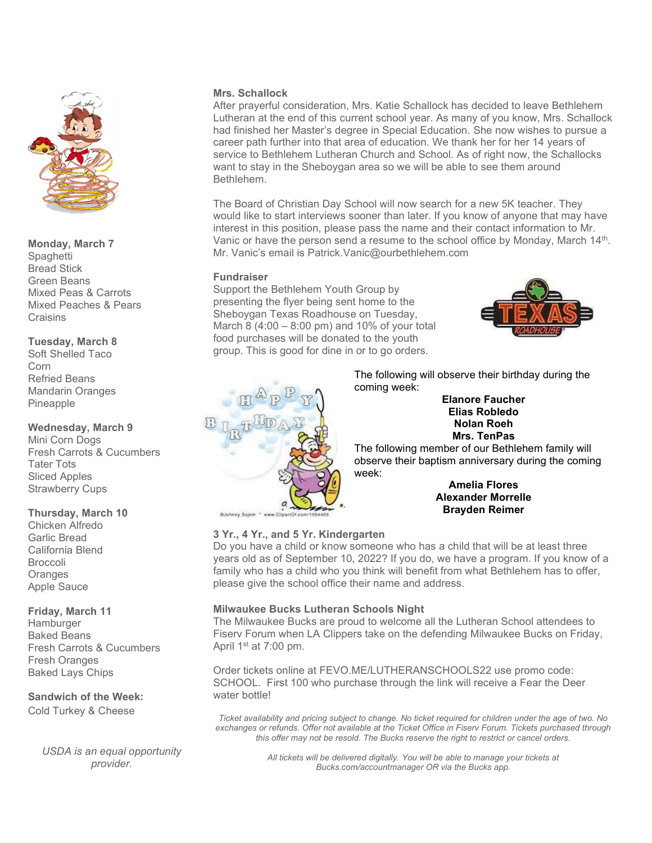

# Monday, March 7

**Spaghetti** Bread Stick Green Beans Mixed Peas & Carrots Mixed Peaches & Pears Craisins

Tuesday, March 8

Soft Shelled Taco Corn Refried Beans Mandarin Oranges Pineapple

# Wednesday, March 9

Mini Corn Dogs Fresh Carrots & Cucumbers Tater Tots Sliced Apples Strawberry Cups

#### Thursday, March 10

Chicken Alfredo Garlic Bread California Blend Broccoli **Oranges** Apple Sauce

# Friday, March 11

**Hamburger** Baked Beans Fresh Carrots & Cucumbers Fresh Oranges Baked Lays Chips

# Sandwich of the Week:

Cold Turkey & Cheese

USDA is an equal opportunity provider.

#### Mrs. Schallock

After prayerful consideration, Mrs. Katie Schallock has decided to leave Bethlehem Lutheran at the end of this current school year. As many of you know, Mrs. Schallock had finished her Master's degree in Special Education. She now wishes to pursue a career path further into that area of education. We thank her for her 14 years of service to Bethlehem Lutheran Church and School. As of right now, the Schallocks want to stay in the Sheboygan area so we will be able to see them around Bethlehem.

The Board of Christian Day School will now search for a new 5K teacher. They would like to start interviews sooner than later. If you know of anyone that may have interest in this position, please pass the name and their contact information to Mr. Vanic or have the person send a resume to the school office by Monday, March 14<sup>th</sup>. Mr. Vanic's email is Patrick.Vanic@ourbethlehem.com

# Fundraiser

Support the Bethlehem Youth Group by presenting the flyer being sent home to the Sheboygan Texas Roadhouse on Tuesday, March 8 (4:00 – 8:00 pm) and 10% of your total food purchases will be donated to the youth group. This is good for dine in or to go orders.



The following will observe their birthday during the coming week:

#### Elanore Faucher Elias Robledo Nolan Roeh Mrs. TenPas

The following member of our Bethlehem family will observe their baptism anniversary during the coming week:

#### Amelia Flores Alexander Morrelle Brayden Reimer

OJohnny Sajem \* www.C

# 3 Yr., 4 Yr., and 5 Yr. Kindergarten

Do you have a child or know someone who has a child that will be at least three years old as of September 10, 2022? If you do, we have a program. If you know of a family who has a child who you think will benefit from what Bethlehem has to offer, please give the school office their name and address.

# Milwaukee Bucks Lutheran Schools Night

The Milwaukee Bucks are proud to welcome all the Lutheran School attendees to Fiserv Forum when LA Clippers take on the defending Milwaukee Bucks on Friday, April 1st at 7:00 pm.

Order tickets online at FEVO.ME/LUTHERANSCHOOLS22 use promo code: SCHOOL. First 100 who purchase through the link will receive a Fear the Deer water bottle!

Ticket availability and pricing subject to change. No ticket required for children under the age of two. No exchanges or refunds. Offer not available at the Ticket Office in Fiserv Forum. Tickets purchased through this offer may not be resold. The Bucks reserve the right to restrict or cancel orders.

> All tickets will be delivered digitally. You will be able to manage your tickets at Bucks.com/accountmanager OR via the Bucks app.